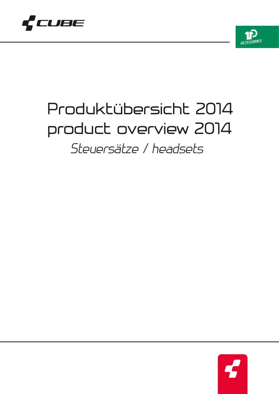



## Produktübersicht 2014 product overview 2014 *Steuersätze / headsets*

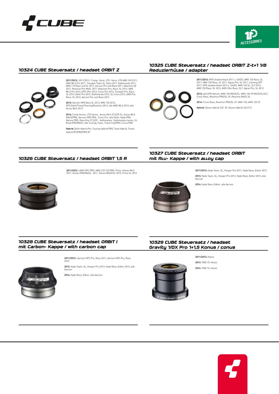



#### *10324 CUBE Steuersatz / headset ORBIT Z*



# 2011/2012 : 2011/2012 : Comp- Serie, LTD- Serie, LTD AMS 100 2011,<br>AMS WLS Pro 2011, Tonopah Team SL, Race 2011, Kathmandu 2011,<br>AMS 110 Race und SL 2011, Aerium Pro und Race 2011, Reaction SE<br>2011, Reaction Pro Mids. 2011

**2013:** Aerium HPA Race SL 2013, XMS 120 2013, EPO Dehli/Travel/Touring/Reaction 2013, alle AMS WLS 2013, alle Acces WLS 2013

**2014:** Comp Series, LTD Series , Acces WLS 27,5/29 SL, Acces WLS RACE/PRO, Aerium HPA PRO, Cross Pro, alle Delhi, Hyde PRO,<br>Nature PRO, Race One 27,5/29, Kathmandu, Kathmandu classic, SL<br>Road PRO/RACE, alle Touring ,Town, Travel City/PRO, Curve PRO

**Hybrid:** Delhi Hybrid Pro, Touring Hybrid PRO, Town Hybrid, Travel Hybrid RT/PRO/PRO RT

#### *10325 CUBE Steuersatz / headset ORBIT Z-t+1 1/8 Reduzierhülse / adapter*

**2011/2012:** EPO shadow black 2011 u. StVZO, AMS 130 Race, SL<br>2011, AMS 150 Race, SL 2011, Agree Pro, SL 2011, Litening HPT<br>2011, EPO shadow black 2012 u. StVZO, AMS 130 SL, SLT 2012,<br>AMS 150 Race, SL 2012, AMS 29er Race,

**2013:** alle EPO Nature, AMS 150 RACE/SL, AMS 120 29 RACE/SL/SLT, Cross Race, Reaction PRO/SL 29, Reaction RACE 26



**Hybrid:** Stereo Hybrid 120 29, Stereo Hybrid 140 27,5

#### *10326 CUBE Steuersatz / headset ORBIT 1,5 R*

**2011/2012 :** AMS HPC PRO, AMS LTD 125 PRO, Fritzz, Stereo WLS 2011, Stereo PRO/RACE, 2011, Stereo RACE/SL 2012, Fritzz SL 2012





**2011/2012:** Hyde Team, SL, Hooper Pro 2011, Hyde Race; Editor 2012 **2013:** Hyde Team, SL, Hooper Pro 2013, Hyde Race; Editor 2013, alle Aerium

**2014:** Hyde Race; Editor, alle Aerium

*10327 CUBE Steuersatz / headset ORBIT* 

*mit Alu- Kappe / with alloy cap*

#### *10328 CUBE Steuersatz / headset ORBIT I mit Carbon- Kappe / with carbon cap*



**2011/2012 :** Aerium HPC Pro, Race 2011, Aerium HPC Pro, Race 2012

**2013:** Hyde Team, SL, Hooper Pro 2013, Hyde Race; Editor 2013, alle Aerium

**2014:** Hyde Race; Editor, alle Aerium

#### *10329 CUBE Steuersatz / headset Gravity 1/DX Pro 1+1,5 Konus / conus*



**2011/2012:** Hanzz **2013:** TWO 15, Hanzz **2014:** TWO 15, Hanzz